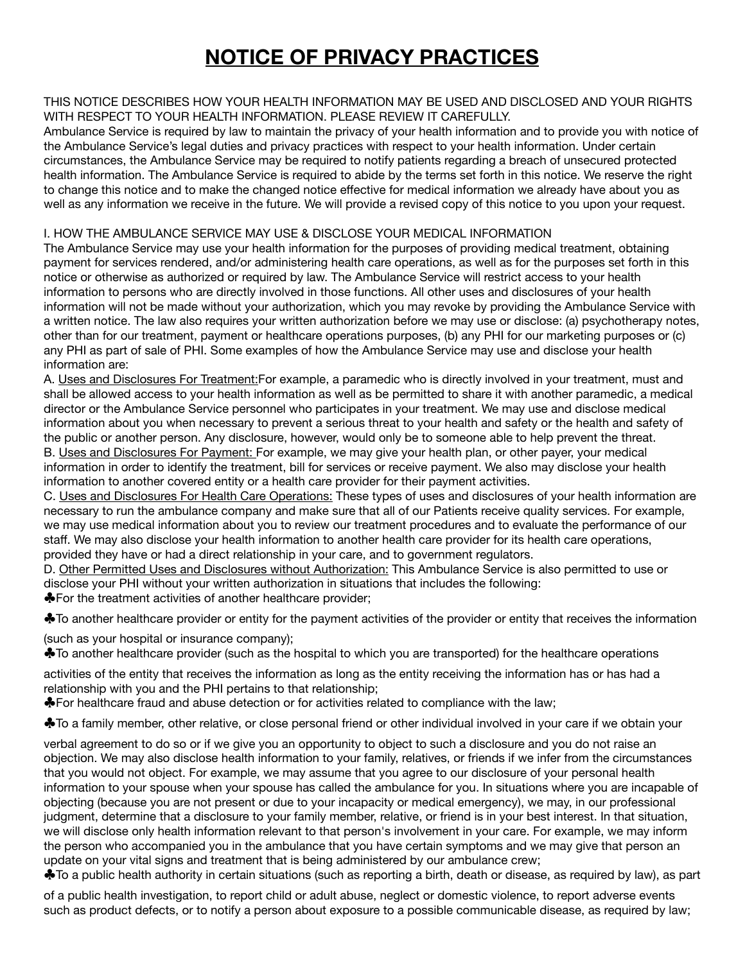## **NOTICE OF PRIVACY PRACTICES**

## THIS NOTICE DESCRIBES HOW YOUR HEALTH INFORMATION MAY BE USED AND DISCLOSED AND YOUR RIGHTS WITH RESPECT TO YOUR HEALTH INFORMATION. PLEASE REVIEW IT CAREFULLY.

Ambulance Service is required by law to maintain the privacy of your health information and to provide you with notice of the Ambulance Service's legal duties and privacy practices with respect to your health information. Under certain circumstances, the Ambulance Service may be required to notify patients regarding a breach of unsecured protected health information. The Ambulance Service is required to abide by the terms set forth in this notice. We reserve the right to change this notice and to make the changed notice effective for medical information we already have about you as well as any information we receive in the future. We will provide a revised copy of this notice to you upon your request.

## I. HOW THE AMBULANCE SERVICE MAY USE & DISCLOSE YOUR MEDICAL INFORMATION

The Ambulance Service may use your health information for the purposes of providing medical treatment, obtaining payment for services rendered, and/or administering health care operations, as well as for the purposes set forth in this notice or otherwise as authorized or required by law. The Ambulance Service will restrict access to your health information to persons who are directly involved in those functions. All other uses and disclosures of your health information will not be made without your authorization, which you may revoke by providing the Ambulance Service with a written notice. The law also requires your written authorization before we may use or disclose: (a) psychotherapy notes, other than for our treatment, payment or healthcare operations purposes, (b) any PHI for our marketing purposes or (c) any PHI as part of sale of PHI. Some examples of how the Ambulance Service may use and disclose your health information are:

A. Uses and Disclosures For Treatment: For example, a paramedic who is directly involved in your treatment, must and shall be allowed access to your health information as well as be permitted to share it with another paramedic, a medical director or the Ambulance Service personnel who participates in your treatment. We may use and disclose medical information about you when necessary to prevent a serious threat to your health and safety or the health and safety of the public or another person. Any disclosure, however, would only be to someone able to help prevent the threat. B. Uses and Disclosures For Payment: For example, we may give your health plan, or other payer, your medical information in order to identify the treatment, bill for services or receive payment. We also may disclose your health information to another covered entity or a health care provider for their payment activities.

C. Uses and Disclosures For Health Care Operations: These types of uses and disclosures of your health information are necessary to run the ambulance company and make sure that all of our Patients receive quality services. For example, we may use medical information about you to review our treatment procedures and to evaluate the performance of our staff. We may also disclose your health information to another health care provider for its health care operations, provided they have or had a direct relationship in your care, and to government regulators.

D. Other Permitted Uses and Disclosures without Authorization: This Ambulance Service is also permitted to use or disclose your PHI without your written authorization in situations that includes the following:

♣For the treatment activities of another healthcare provider;

♣To another healthcare provider or entity for the payment activities of the provider or entity that receives the information

(such as your hospital or insurance company);

♣To another healthcare provider (such as the hospital to which you are transported) for the healthcare operations

activities of the entity that receives the information as long as the entity receiving the information has or has had a relationship with you and the PHI pertains to that relationship;

♣For healthcare fraud and abuse detection or for activities related to compliance with the law;

♣To a family member, other relative, or close personal friend or other individual involved in your care if we obtain your

verbal agreement to do so or if we give you an opportunity to object to such a disclosure and you do not raise an objection. We may also disclose health information to your family, relatives, or friends if we infer from the circumstances that you would not object. For example, we may assume that you agree to our disclosure of your personal health information to your spouse when your spouse has called the ambulance for you. In situations where you are incapable of objecting (because you are not present or due to your incapacity or medical emergency), we may, in our professional judgment, determine that a disclosure to your family member, relative, or friend is in your best interest. In that situation, we will disclose only health information relevant to that person's involvement in your care. For example, we may inform the person who accompanied you in the ambulance that you have certain symptoms and we may give that person an update on your vital signs and treatment that is being administered by our ambulance crew;

♣To a public health authority in certain situations (such as reporting a birth, death or disease, as required by law), as part

of a public health investigation, to report child or adult abuse, neglect or domestic violence, to report adverse events such as product defects, or to notify a person about exposure to a possible communicable disease, as required by law;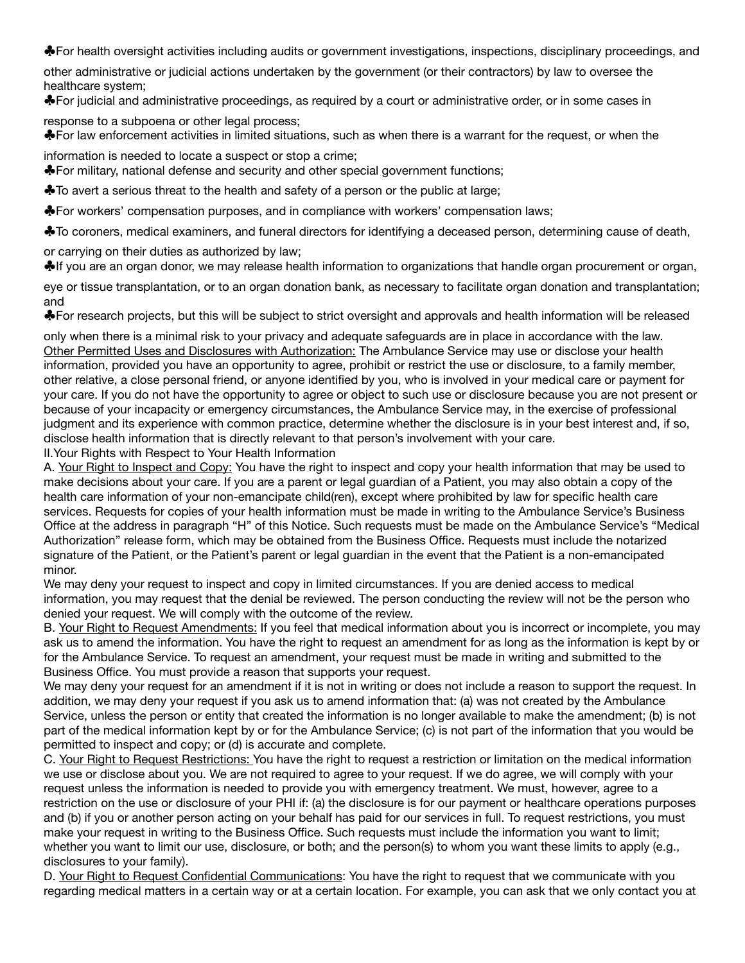♣For health oversight activities including audits or government investigations, inspections, disciplinary proceedings, and

other administrative or judicial actions undertaken by the government (or their contractors) by law to oversee the healthcare system;

♣For judicial and administrative proceedings, as required by a court or administrative order, or in some cases in

response to a subpoena or other legal process;

♣For law enforcement activities in limited situations, such as when there is a warrant for the request, or when the

information is needed to locate a suspect or stop a crime;

♣For military, national defense and security and other special government functions;

♣To avert a serious threat to the health and safety of a person or the public at large;

♣For workers' compensation purposes, and in compliance with workers' compensation laws;

♣To coroners, medical examiners, and funeral directors for identifying a deceased person, determining cause of death,

or carrying on their duties as authorized by law;

♣If you are an organ donor, we may release health information to organizations that handle organ procurement or organ,

eye or tissue transplantation, or to an organ donation bank, as necessary to facilitate organ donation and transplantation; and

♣For research projects, but this will be subject to strict oversight and approvals and health information will be released

only when there is a minimal risk to your privacy and adequate safeguards are in place in accordance with the law. Other Permitted Uses and Disclosures with Authorization: The Ambulance Service may use or disclose your health information, provided you have an opportunity to agree, prohibit or restrict the use or disclosure, to a family member, other relative, a close personal friend, or anyone identified by you, who is involved in your medical care or payment for your care. If you do not have the opportunity to agree or object to such use or disclosure because you are not present or because of your incapacity or emergency circumstances, the Ambulance Service may, in the exercise of professional judgment and its experience with common practice, determine whether the disclosure is in your best interest and, if so, disclose health information that is directly relevant to that person's involvement with your care.

II.Your Rights with Respect to Your Health Information

A. Your Right to Inspect and Copy: You have the right to inspect and copy your health information that may be used to make decisions about your care. If you are a parent or legal guardian of a Patient, you may also obtain a copy of the health care information of your non-emancipate child(ren), except where prohibited by law for specific health care services. Requests for copies of your health information must be made in writing to the Ambulance Service's Business Office at the address in paragraph "H" of this Notice. Such requests must be made on the Ambulance Service's "Medical Authorization" release form, which may be obtained from the Business Office. Requests must include the notarized signature of the Patient, or the Patient's parent or legal guardian in the event that the Patient is a non-emancipated minor.

We may deny your request to inspect and copy in limited circumstances. If you are denied access to medical information, you may request that the denial be reviewed. The person conducting the review will not be the person who denied your request. We will comply with the outcome of the review.

B. Your Right to Request Amendments: If you feel that medical information about you is incorrect or incomplete, you may ask us to amend the information. You have the right to request an amendment for as long as the information is kept by or for the Ambulance Service. To request an amendment, your request must be made in writing and submitted to the Business Office. You must provide a reason that supports your request.

We may deny your request for an amendment if it is not in writing or does not include a reason to support the request. In addition, we may deny your request if you ask us to amend information that: (a) was not created by the Ambulance Service, unless the person or entity that created the information is no longer available to make the amendment; (b) is not part of the medical information kept by or for the Ambulance Service; (c) is not part of the information that you would be permitted to inspect and copy; or (d) is accurate and complete.

C. Your Right to Request Restrictions: You have the right to request a restriction or limitation on the medical information we use or disclose about you. We are not required to agree to your request. If we do agree, we will comply with your request unless the information is needed to provide you with emergency treatment. We must, however, agree to a restriction on the use or disclosure of your PHI if: (a) the disclosure is for our payment or healthcare operations purposes and (b) if you or another person acting on your behalf has paid for our services in full. To request restrictions, you must make your request in writing to the Business Office. Such requests must include the information you want to limit; whether you want to limit our use, disclosure, or both; and the person(s) to whom you want these limits to apply (e.g., disclosures to your family).

D. Your Right to Request Confidential Communications: You have the right to request that we communicate with you regarding medical matters in a certain way or at a certain location. For example, you can ask that we only contact you at